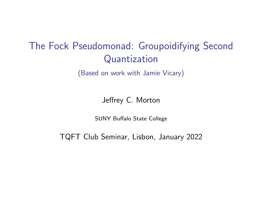# The Fock Pseudomonad: Groupoidifying Second Quantization

(Based on work with Jamie Vicary)

Jeffrey C. Morton

SUNY Buffalo State College

TQFT Club Seminar, Lisbon, January 2022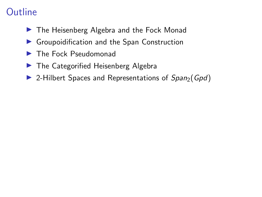## **Outline**

- ▶ The Heisenberg Algebra and the Fock Monad
- � Groupoidification and the Span Construction
- ▶ The Fock Pseudomonad
- ▶ The Categorified Heisenberg Algebra
- $\triangleright$  2-Hilbert Spaces and Representations of Span<sub>2</sub>(Gpd)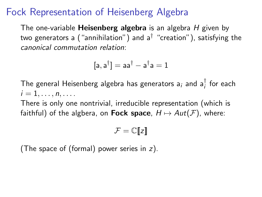#### Fock Representation of Heisenberg Algebra

The one-variable **Heisenberg algebra** is an algebra  $H$  given by two generators a ("annihilation") and  $a^{\dagger}$  "creation"), satisfying the canonical commutation relation:

$$
[a,a^{\dagger}]=aa^{\dagger}-a^{\dagger}a=1
$$

The general Heisenberg algebra has generators  $\mathsf{a}_i$  and  $\mathsf{a}_i^\intercal$  for each  $i=1,\ldots,n,\ldots$ .

There is only one nontrivial, irreducible representation (which is faithful) of the algbera, on **Fock space**,  $H \mapsto Aut(F)$ , where:

$$
\mathcal{F}=\mathbb{C}[\![z]\!]
$$

(The space of (formal) power series in z).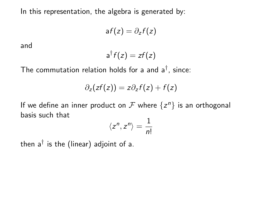In this representation, the algebra is generated by:

$$
af(z)=\partial_z f(z)
$$

and

$$
a^{\dagger}f(z)=zf(z)
$$

The commutation relation holds for a and  $a^{\dagger}$ , since:

$$
\partial_z(zf(z)) = z\partial_z f(z) + f(z)
$$

If we define an inner product on  $\mathcal F$  where  $\{z^n\}$  is an orthogonal basis such that

$$
\langle z^n, z^n \rangle = \frac{1}{n!}
$$

then  $a^{\dagger}$  is the (linear) adjoint of a.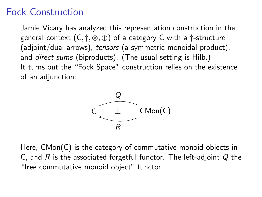### Fock Construction

Jamie Vicary has analyzed this representation construction in the general context  $(C, \dagger, \otimes, \oplus)$  of a category C with a  $\dagger$ -structure (adjoint/dual arrows), tensors (a symmetric monoidal product), and *direct sums* (biproducts). (The usual setting is Hilb.) It turns out the "Fock Space" construction relies on the existence of an adjunction:



Here, CMon(C) is the category of commutative monoid objects in C, and R is the associated forgetful functor. The left-adjoint  $Q$  the "free commutative monoid object" functor.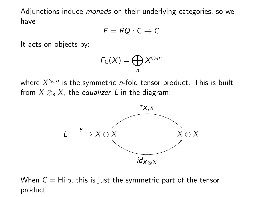Adjunctions induce *monads* on their underlying categories, so we have

$$
F = RQ : C \to C
$$

It acts on objects by:

$$
F_{\mathsf{C}}(X)=\bigoplus_n X^{\otimes_s n}
$$

where  $X^{\otimes_s n}$  is the symmetric *n*-fold tensor product. This is built from  $X \otimes_{S} X$ , the *equalizer* L in the diagram:



When  $C = Hilb$ , this is just the symmetric part of the tensor product.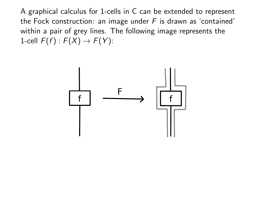A graphical calculus for 1-cells in C can be extended to represent the Fock construction: an image under  $F$  is drawn as 'contained' within a pair of grey lines. The following image represents the 1-cell  $F(f)$  :  $F(X) \rightarrow F(Y)$ :

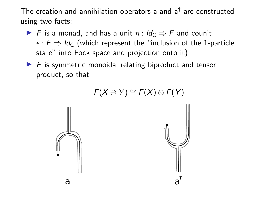The creation and annihilation operators a and  $a^{\dagger}$  are constructed using two facts:

- ▶ F is a monad, and has a unit  $\eta$  :  $\mathsf{Id}_{\mathsf{C}} \Rightarrow \mathsf{F}$  and counit  $\epsilon$  :  $F \Rightarrow Id_C$  (which represent the "inclusion of the 1-particle state" into Fock space and projection onto it)
- $\blacktriangleright$  F is symmetric monoidal relating biproduct and tensor product, so that

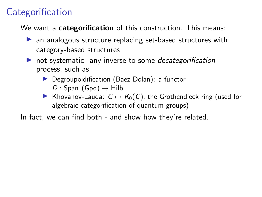# **Categorification**

We want a categorification of this construction. This means:

- ▶ an analogous structure replacing set-based structures with category-based structures
- not systematic: any inverse to some *decategorification* process, such as:
	- ▶ Degroupoidification (Baez-Dolan): a functor  $D : Span_1(Gpd) \rightarrow Hilb$
	- ▶ Khovanov-Lauda:  $C \mapsto K_0(C)$ , the Grothendieck ring (used for algebraic categorification of quantum groups)

In fact, we can find both - and show how they're related.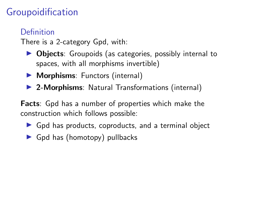# Groupoidification

#### Definition

There is a 2-category Gpd, with:

- ▶ Objects: Groupoids (as categories, possibly internal to spaces, with all morphisms invertible)
- ▶ Morphisms: Functors (internal)
- ▶ 2-Morphisms: Natural Transformations (internal)

Facts: Gpd has a number of properties which make the construction which follows possible:

- $\triangleright$  Gpd has products, coproducts, and a terminal object
- ▶ Gpd has (homotopy) pullbacks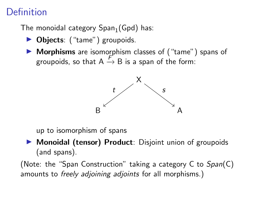## Definition

The monoidal category  $Span_1(Gpd)$  has:

- ▶ Objects: ("tame") groupoids.
- ▶ Morphisms are isomorphism classes of ("tame") spans of groupoids, so that  $A \xrightarrow{F} B$  is a span of the form:



up to isomorphism of spans

� Monoidal (tensor) Product: Disjoint union of groupoids (and spans).

(Note: the "Span Construction" taking a category C to  $Span(C)$ amounts to *freely adjoining adjoints* for all morphisms.)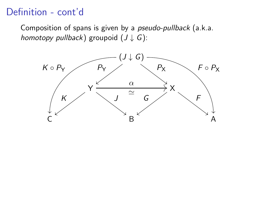### Definition - cont'd

Composition of spans is given by a pseudo-pullback (a.k.a. homotopy pullback) groupoid  $(J \downarrow G)$ :

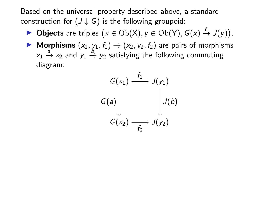Based on the universal property described above, a standard construction for  $(J \downarrow G)$  is the following groupoid:

- ▶ Objects are triples  $(x \in Ob(X), y \in Ob(Y), G(x) \stackrel{f}{\to} J(y)).$
- Morphisms  $(x_1, y_1, f_1) \rightarrow (x_2, y_2, f_2)$  are pairs of morphisms  $x_1 \stackrel{a}{\rightarrow} x_2$  and  $y_1 \stackrel{b}{\rightarrow} y_2$  satisfying the following commuting diagram:

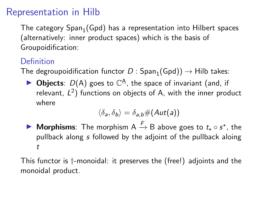### Representation in Hilb

The category  $Span_1(Gpd)$  has a representation into Hilbert spaces (alternatively: inner product spaces) which is the basis of Groupoidification:

#### Definition

The degroupoidification functor  $D : Span_1(Gpd)$   $\rightarrow$  Hilb takes:

 $\triangleright$  Objects:  $D(A)$  goes to  $\mathbb{C}^{\mathbf{\Delta}}$ , the space of invariant (and, if relevant,  $L^2$ ) functions on objects of A, with the inner product where

$$
\langle \delta_{\mathsf{a}}, \delta_{\mathsf{b}} \rangle = \delta_{\mathsf{a},\mathsf{b}} \#(Aut(\mathsf{a}))
$$

▶ Morphisms: The morphism A  $\stackrel{F}{\rightarrow}$  B above goes to  $t_{\star} \circ s^{\star}$ , the pullback along s followed by the adjoint of the pullback aloing t

This functor is †-monoidal: it preserves the (free!) adjoints and the monoidal product.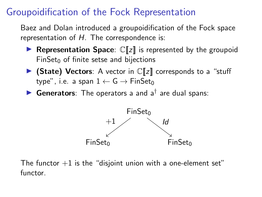### Groupoidification of the Fock Representation

Baez and Dolan introduced a groupoidification of the Fock space representation of  $H$ . The correspondence is:

- **Representation Space:**  $\mathbb{C}[\![z]\!]$  is represented by the groupoid  $FinSet<sub>0</sub>$  of finite setse and bijections
- $\triangleright$  (State) Vectors: A vector in  $\mathbb{C}[\![z]\!]$  corresponds to a "stuff type", i.e. a span  $1 \leftarrow G \rightarrow FinSet_0$
- ▶ Generators: The operators a and  $a^{\dagger}$  are dual spans:



The functor  $+1$  is the "disjoint union with a one-element set" functor.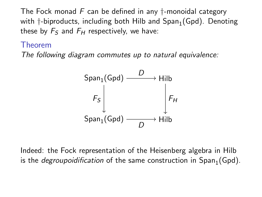The Fock monad  $F$  can be defined in any  $\dagger$ -monoidal category with  $\dagger$ -biproducts, including both Hilb and  $Span_1(Gpd)$ . Denoting these by  $F<sub>S</sub>$  and  $F<sub>H</sub>$  respectively, we have:

#### Theorem

The following diagram commutes up to natural equivalence:



Indeed: the Fock representation of the Heisenberg algebra in Hilb is the *degroupoidification* of the same construction in  $Span_1(Gpd)$ .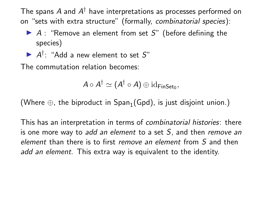The spans  $A$  and  $A^{\dagger}$  have interpretations as processes performed on on "sets with extra structure" (formally, combinatorial species):

- $\blacktriangleright$  A : "Remove an element from set S" (before defining the species)
- $\blacktriangleright$   $A^{\dagger}$ : "Add a new element to set S"

The commutation relation becomes:

$$
A\circ A^{\dagger}\simeq (A^{\dagger}\circ A)\oplus \mathrm{id}_{\mathsf{FinSet}_0},
$$

(Where  $\oplus$ , the biproduct in Span<sub>1</sub>(Gpd), is just disjoint union.)

This has an interpretation in terms of combinatorial histories: there is one more way to add an element to a set  $S$ , and then remove an element than there is to first remove an element from S and then add an element. This extra way is equivalent to the identity.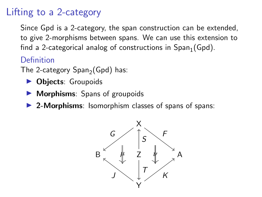## Lifting to a 2-category

Since Gpd is a 2-category, the span construction can be extended, to give 2-morphisms between spans. We can use this extension to find a 2-categorical analog of constructions in  $Span_1(Gpd)$ .

**Definition** 

The 2-category  $Span_2(Gpd)$  has:

- **Diects: Groupoids**
- **Morphisms:** Spans of groupoids
- ▶ 2-Morphisms: Isomorphism classes of spans of spans:

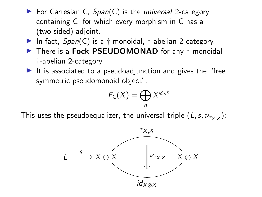- $\blacktriangleright$  For Cartesian C,  $Span(C)$  is the *universal* 2-category containing C, for which every morphism in C has a (two-sided) adjoint.
- $\blacktriangleright$  In fact,  $Span(C)$  is a  $\dagger$ -monoidal,  $\dagger$ -abelian 2-category.
- ▶ There is a Fock PSEUDOMONAD for any †-monoidal †-abelian 2-category
- $\blacktriangleright$  It is associated to a pseudoadjunction and gives the "free symmetric pseudomonoid object":

$$
F_{\mathsf{C}}(X)=\bigoplus_n X^{\otimes_{s}n}
$$

This uses the pseudoequalizer, the universal triple  $(L, s, \nu_{\tau_X}x)$ :

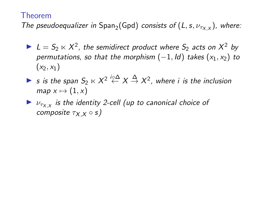#### Theorem

The pseudoequalizer in Span<sub>2</sub>(Gpd) consists of  $(L, s, \nu_{\tau_X}),$  where:

- $\blacktriangleright$   $L = S_2 \ltimes X^2$ , the semidirect product where  $S_2$  acts on  $X^2$  by permutations, so that the morphism  $(-1, Id)$  takes  $(x_1, x_2)$  to  $(x_2, x_1)$
- ► s is the span  $S_2 \ltimes X^2 \stackrel{i \circ \Delta}{\leftarrow} X \stackrel{\Delta}{\rightarrow} X^2$ , where i is the inclusion  $map x \mapsto (1, x)$
- $\blacktriangleright$   $\nu_{\tau_X}$  is the identity 2-cell (up to canonical choice of composite  $\tau_X \times \circ s$ )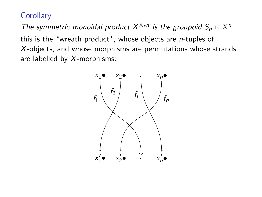**Corollary** 

The symmetric monoidal product  $X^{\otimes_s n}$  is the groupoid  $S_n \ltimes X^n$ . this is the "wreath product", whose objects are n-tuples of X-objects, and whose morphisms are permutations whose strands are labelled by  $X$ -morphisms:

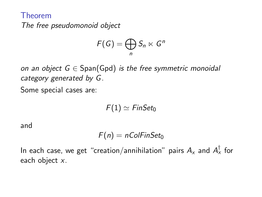Theorem The free pseudomonoid object

$$
F(G)=\bigoplus_n S_n\ltimes G^n
$$

on an object  $G \in Span(Gpd)$  is the free symmetric monoidal category generated by G.

Some special cases are:

$$
F(1) \simeq \mathit{FinSet}_0
$$

and

$$
F(n) = nColFinSet_0
$$

In each case, we get "creation/annihilation" pairs  $A_\mathsf{x}$  and  $A_\mathsf{x}^\intercal$  for each object x.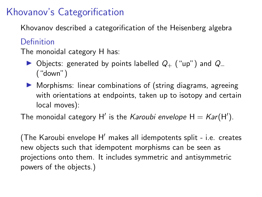### Khovanov's Categorification

Khovanov described a categorification of the Heisenberg algebra

#### Definition

The monoidal category H has:

- ▶ Objects: generated by points labelled  $Q_{+}$  ("up") and  $Q_{-}$ ("down")
- � Morphisms: linear combinations of (string diagrams, agreeing with orientations at endpoints, taken up to isotopy and certain local moves):

The monoidal category H $^\prime$  is the *Karoubi envelope* H  $=$  *Kar*(H $^\prime$ ).

(The Karoubi envelope  $H'$  makes all idempotents split - i.e. creates new objects such that idempotent morphisms can be seen as projections onto them. It includes symmetric and antisymmetric powers of the objects.)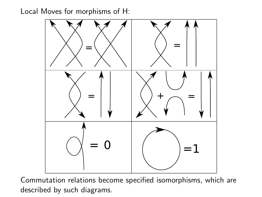Local Moves for morphisms of H:



Commutation relations become specified isomorphisms, which are described by such diagrams.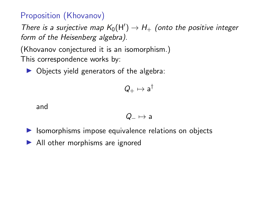#### Proposition (Khovanov)

There is a surjective map  $K_0(H') \to H_+$  (onto the positive integer form of the Heisenberg algebra).

(Khovanov conjectured it is an isomorphism.) This correspondence works by:

 $\triangleright$  Objects yield generators of the algebra:

$$
Q_+ \mapsto a^{\dagger}
$$

and

$$
Q_-\mapsto a
$$

- ▶ Isomorphisms impose equivalence relations on objects
- ▶ All other morphisms are ignored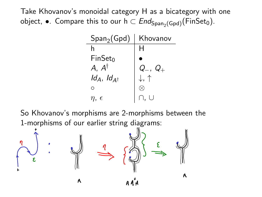Take Khovanov's monoidal category H as a bicategory with one object,  $\bullet$ . Compare this to our  $h \subset End_{Span_2(Gpd)}(FinSet_0)$ .

| $\mathsf{Span}_{2}(\mathsf{Gpd})$ | Khovanov                                                         |
|-----------------------------------|------------------------------------------------------------------|
| h                                 |                                                                  |
| $FinSet_0$                        |                                                                  |
| $A, A^{\dagger}$                  |                                                                  |
| $Id_A$ , $Id_{A^{\dagger}}$       | $\begin{array}{l} Q_-,\ Q_+\\ \downarrow,\ \uparrow \end{array}$ |
| Ω                                 |                                                                  |
| η.                                |                                                                  |

So Khovanov's morphisms are 2-morphisms between the 1-morphisms of our earlier string diagrams:

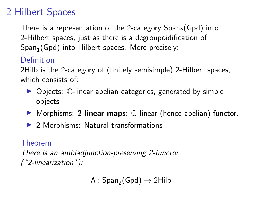# 2-Hilbert Spaces

There is a representation of the 2-category  $Span_2(Gpd)$  into 2-Hilbert spaces, just as there is a degroupoidification of  $Span_1(Gpd)$  into Hilbert spaces. More precisely:

#### **Definition**

2Hilb is the 2-category of (finitely semisimple) 2-Hilbert spaces, which consists of:

- ▶ Objects: C-linear abelian categories, generated by simple objects
- ▶ Morphisms: 2-linear maps: C-linear (hence abelian) functor.
- ▶ 2-Morphisms: Natural transformations

#### Theorem

There is an ambiadjunction-preserving 2-functor ("2-linearization"):

```
\Lambda : Span<sub>2</sub>(Gpd) \rightarrow 2Hilb
```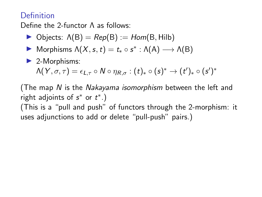#### **Definition**

Define the 2-functor Λ as follows:

- $\triangleright$  Objects:  $\Lambda(B) = Rep(B) := Hom(B, Hilb)$
- $\blacktriangleright$  Morphisms  $\Lambda(X, s, t) = t_* \circ s^* : \Lambda(A) \longrightarrow \Lambda(B)$
- $\blacktriangleright$  2-Morphisms:

$$
\Lambda(Y,\sigma,\tau)=\epsilon_{L,\tau}\circ N\circ \eta_{R,\sigma}:(t)_*\circ (s)^*\to (t')_*\circ (s')^*
$$

(The map N is the Nakayama isomorphism between the left and right adjoints of  $s^*$  or  $t^*$ .)

(This is a "pull and push" of functors through the 2-morphism: it uses adjunctions to add or delete "pull-push" pairs.)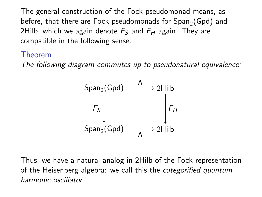The general construction of the Fock pseudomonad means, as before, that there are Fock pseudomonads for  $Span_{2}(Gpd)$  and 2Hilb, which we again denote  $F<sub>S</sub>$  and  $F<sub>H</sub>$  again. They are compatible in the following sense:

#### Theorem

The following diagram commutes up to pseudonatural equivalence:



Thus, we have a natural analog in 2Hilb of the Fock representation of the Heisenberg algebra: we call this the categorified quantum harmonic oscillator.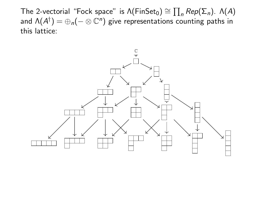The 2-vectorial "Fock space" is  $\Lambda$ (FinSet<sub>0</sub>)  $\cong \prod_n Rep(\Sigma_n)$ .  $\Lambda(A)$ and  $\Lambda(A^{\dagger}) = \bigoplus_{n} (- \otimes \mathbb{C}^{n})$  give representations counting paths in this lattice: